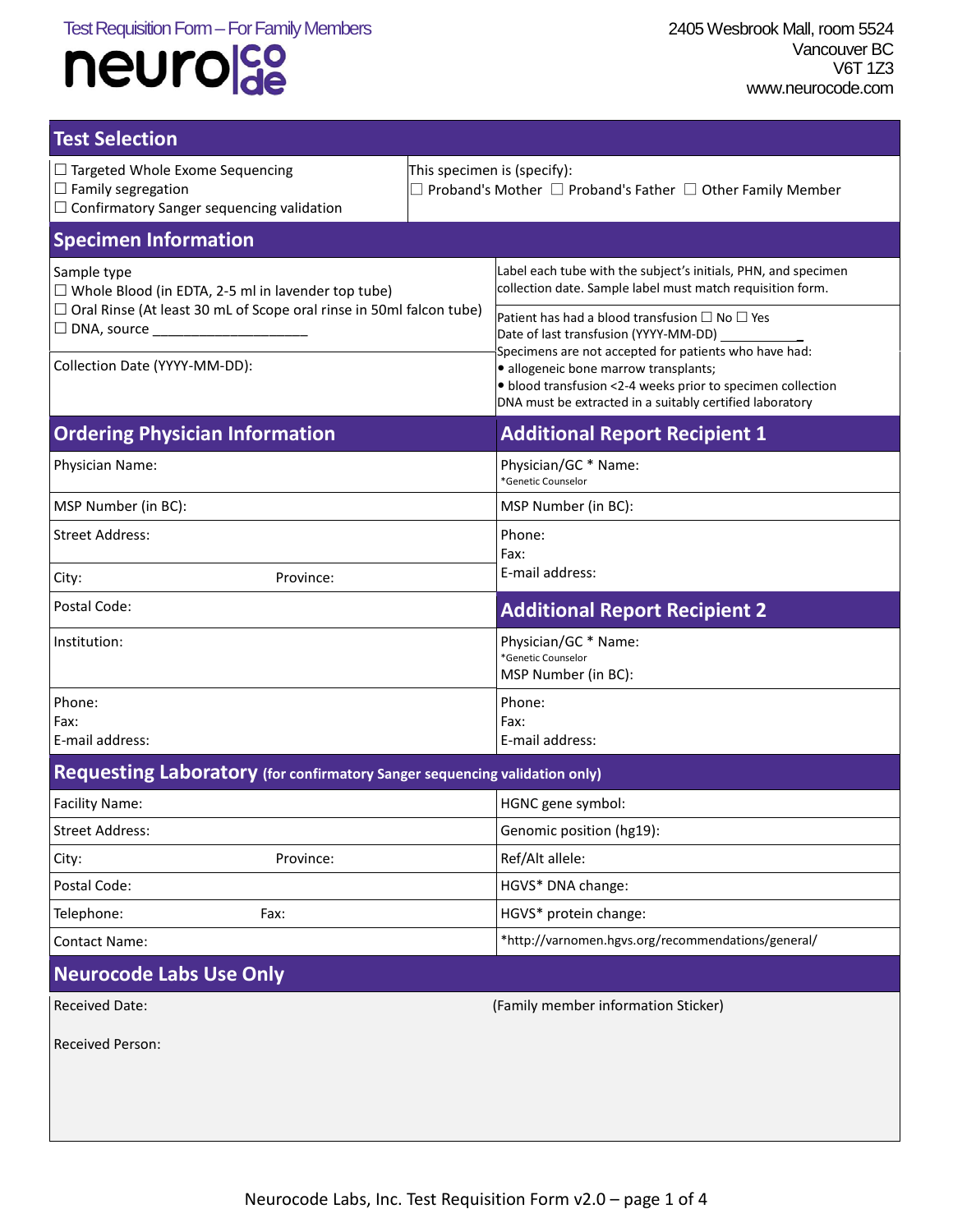| <b>Test Selection</b>                                                                                                                                                                   |                                                                                                              |                                                                                                                                                                                                                                                                                                                                                                                                                                                                |  |  |
|-----------------------------------------------------------------------------------------------------------------------------------------------------------------------------------------|--------------------------------------------------------------------------------------------------------------|----------------------------------------------------------------------------------------------------------------------------------------------------------------------------------------------------------------------------------------------------------------------------------------------------------------------------------------------------------------------------------------------------------------------------------------------------------------|--|--|
| $\Box$ Targeted Whole Exome Sequencing<br>$\Box$ Family segregation<br>$\Box$ Confirmatory Sanger sequencing validation                                                                 | This specimen is (specify):<br>$\exists$ Proband's Mother $\Box$ Proband's Father $\Box$ Other Family Member |                                                                                                                                                                                                                                                                                                                                                                                                                                                                |  |  |
| <b>Specimen Information</b>                                                                                                                                                             |                                                                                                              |                                                                                                                                                                                                                                                                                                                                                                                                                                                                |  |  |
| Sample type<br>$\Box$ Whole Blood (in EDTA, 2-5 ml in lavender top tube)<br>$\Box$ Oral Rinse (At least 30 mL of Scope oral rinse in 50ml falcon tube)<br>Collection Date (YYYY-MM-DD): |                                                                                                              | Label each tube with the subject's initials, PHN, and specimen<br>collection date. Sample label must match requisition form.<br>Patient has had a blood transfusion $\Box$ No $\Box$ Yes<br>Date of last transfusion (YYYY-MM-DD)<br>Specimens are not accepted for patients who have had:<br>· allogeneic bone marrow transplants;<br>· blood transfusion <2-4 weeks prior to specimen collection<br>DNA must be extracted in a suitably certified laboratory |  |  |
| <b>Ordering Physician Information</b>                                                                                                                                                   |                                                                                                              | <b>Additional Report Recipient 1</b>                                                                                                                                                                                                                                                                                                                                                                                                                           |  |  |
| Physician Name:                                                                                                                                                                         |                                                                                                              | Physician/GC * Name:<br>*Genetic Counselor                                                                                                                                                                                                                                                                                                                                                                                                                     |  |  |
| MSP Number (in BC):                                                                                                                                                                     |                                                                                                              | MSP Number (in BC):                                                                                                                                                                                                                                                                                                                                                                                                                                            |  |  |
| <b>Street Address:</b>                                                                                                                                                                  |                                                                                                              | Phone:<br>Fax:                                                                                                                                                                                                                                                                                                                                                                                                                                                 |  |  |
| Province:<br>City:                                                                                                                                                                      |                                                                                                              | E-mail address:                                                                                                                                                                                                                                                                                                                                                                                                                                                |  |  |
| Postal Code:                                                                                                                                                                            |                                                                                                              | <b>Additional Report Recipient 2</b>                                                                                                                                                                                                                                                                                                                                                                                                                           |  |  |
| Institution:                                                                                                                                                                            |                                                                                                              | Physician/GC * Name:<br>*Genetic Counselor<br>MSP Number (in BC):                                                                                                                                                                                                                                                                                                                                                                                              |  |  |
| Phone:<br>Fax:<br>E-mail address:                                                                                                                                                       |                                                                                                              | Phone:<br>Fax:<br>E-mail address:                                                                                                                                                                                                                                                                                                                                                                                                                              |  |  |
| Requesting Laboratory (for confirmatory Sanger sequencing validation only)                                                                                                              |                                                                                                              |                                                                                                                                                                                                                                                                                                                                                                                                                                                                |  |  |
| Facility Name:                                                                                                                                                                          |                                                                                                              | HGNC gene symbol:                                                                                                                                                                                                                                                                                                                                                                                                                                              |  |  |
| <b>Street Address:</b>                                                                                                                                                                  |                                                                                                              | Genomic position (hg19):                                                                                                                                                                                                                                                                                                                                                                                                                                       |  |  |
| Province:<br>City:                                                                                                                                                                      |                                                                                                              | Ref/Alt allele:                                                                                                                                                                                                                                                                                                                                                                                                                                                |  |  |
| Postal Code:                                                                                                                                                                            |                                                                                                              | HGVS* DNA change:                                                                                                                                                                                                                                                                                                                                                                                                                                              |  |  |
| Telephone:<br>Fax:                                                                                                                                                                      |                                                                                                              | HGVS* protein change:                                                                                                                                                                                                                                                                                                                                                                                                                                          |  |  |
| <b>Contact Name:</b>                                                                                                                                                                    |                                                                                                              | *http://varnomen.hgvs.org/recommendations/general/                                                                                                                                                                                                                                                                                                                                                                                                             |  |  |
| <b>Neurocode Labs Use Only</b>                                                                                                                                                          |                                                                                                              |                                                                                                                                                                                                                                                                                                                                                                                                                                                                |  |  |
| <b>Received Date:</b>                                                                                                                                                                   |                                                                                                              | (Family member information Sticker)                                                                                                                                                                                                                                                                                                                                                                                                                            |  |  |
| Received Person:                                                                                                                                                                        |                                                                                                              |                                                                                                                                                                                                                                                                                                                                                                                                                                                                |  |  |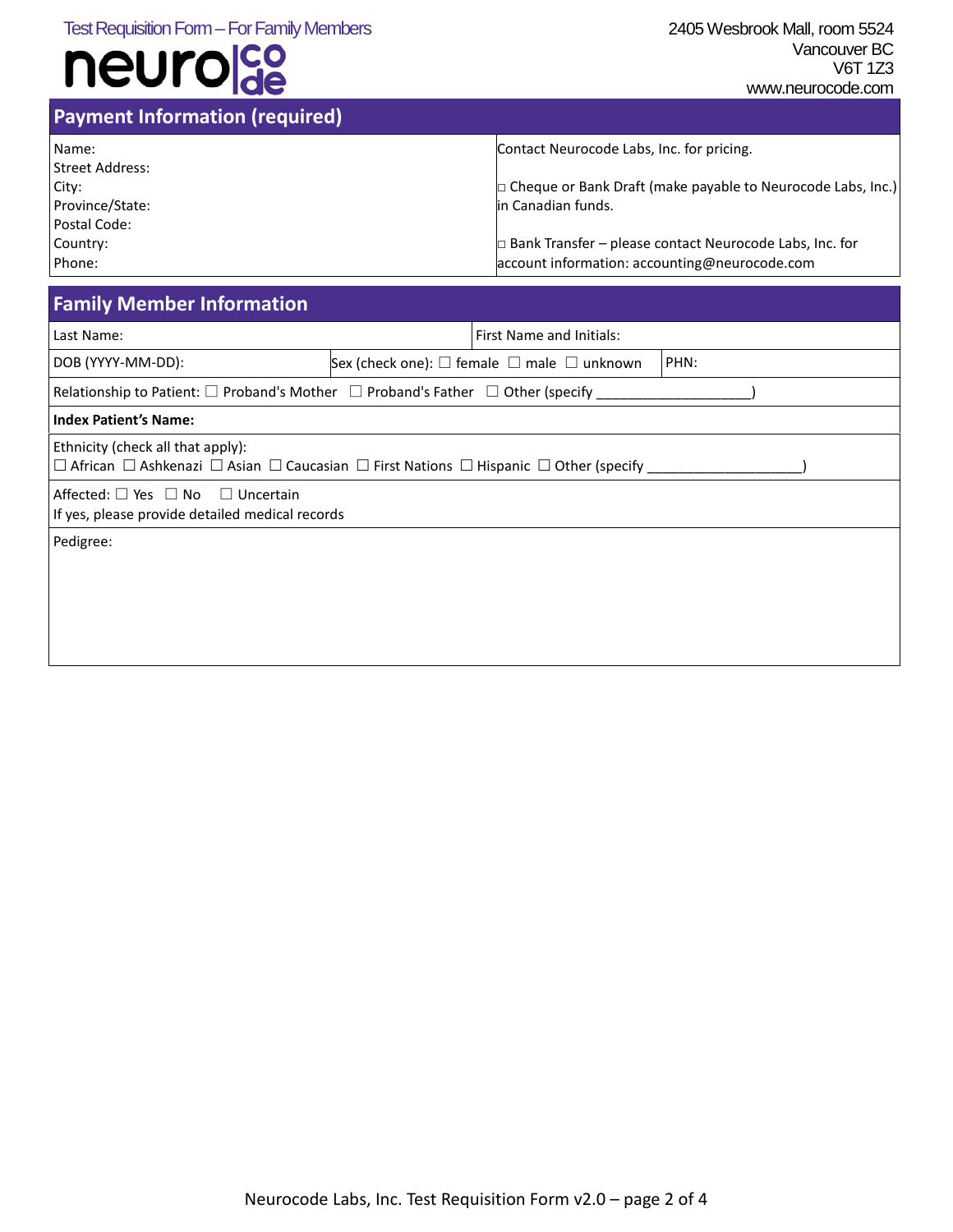| <b>Payment Information (required)</b> |                                                                    |
|---------------------------------------|--------------------------------------------------------------------|
| Name:                                 | Contact Neurocode Labs, Inc. for pricing.                          |
| Street Address:                       |                                                                    |
| City:                                 | $\Box$ Cheque or Bank Draft (make payable to Neurocode Labs, Inc.) |
| Province/State:                       | in Canadian funds.                                                 |
| Postal Code:                          |                                                                    |
| Country:                              | $\Box$ Bank Transfer – please contact Neurocode Labs, Inc. for     |
| Phone:                                | account information: accounting@neurocode.com                      |

### **Family Member Information**

| Last Name:                                                                                                                                                    |                                                                            | <b>First Name and Initials:</b> |  |  |
|---------------------------------------------------------------------------------------------------------------------------------------------------------------|----------------------------------------------------------------------------|---------------------------------|--|--|
| DOB (YYYY-MM-DD):                                                                                                                                             | PHN:<br>Sex (check one): $\square$ female $\square$ male $\square$ unknown |                                 |  |  |
| Relationship to Patient: $\square$ Proband's Mother $\square$ Proband's Father $\square$ Other (specify                                                       |                                                                            |                                 |  |  |
| <b>Index Patient's Name:</b>                                                                                                                                  |                                                                            |                                 |  |  |
| Ethnicity (check all that apply):<br>$\Box$ African $\Box$ Ashkenazi $\Box$ Asian $\Box$ Caucasian $\Box$ First Nations $\Box$ Hispanic $\Box$ Other (specify |                                                                            |                                 |  |  |
| Affected: $\Box$ Yes $\Box$ No $\Box$ Uncertain<br>If yes, please provide detailed medical records                                                            |                                                                            |                                 |  |  |
| Pedigree:                                                                                                                                                     |                                                                            |                                 |  |  |
|                                                                                                                                                               |                                                                            |                                 |  |  |
|                                                                                                                                                               |                                                                            |                                 |  |  |
|                                                                                                                                                               |                                                                            |                                 |  |  |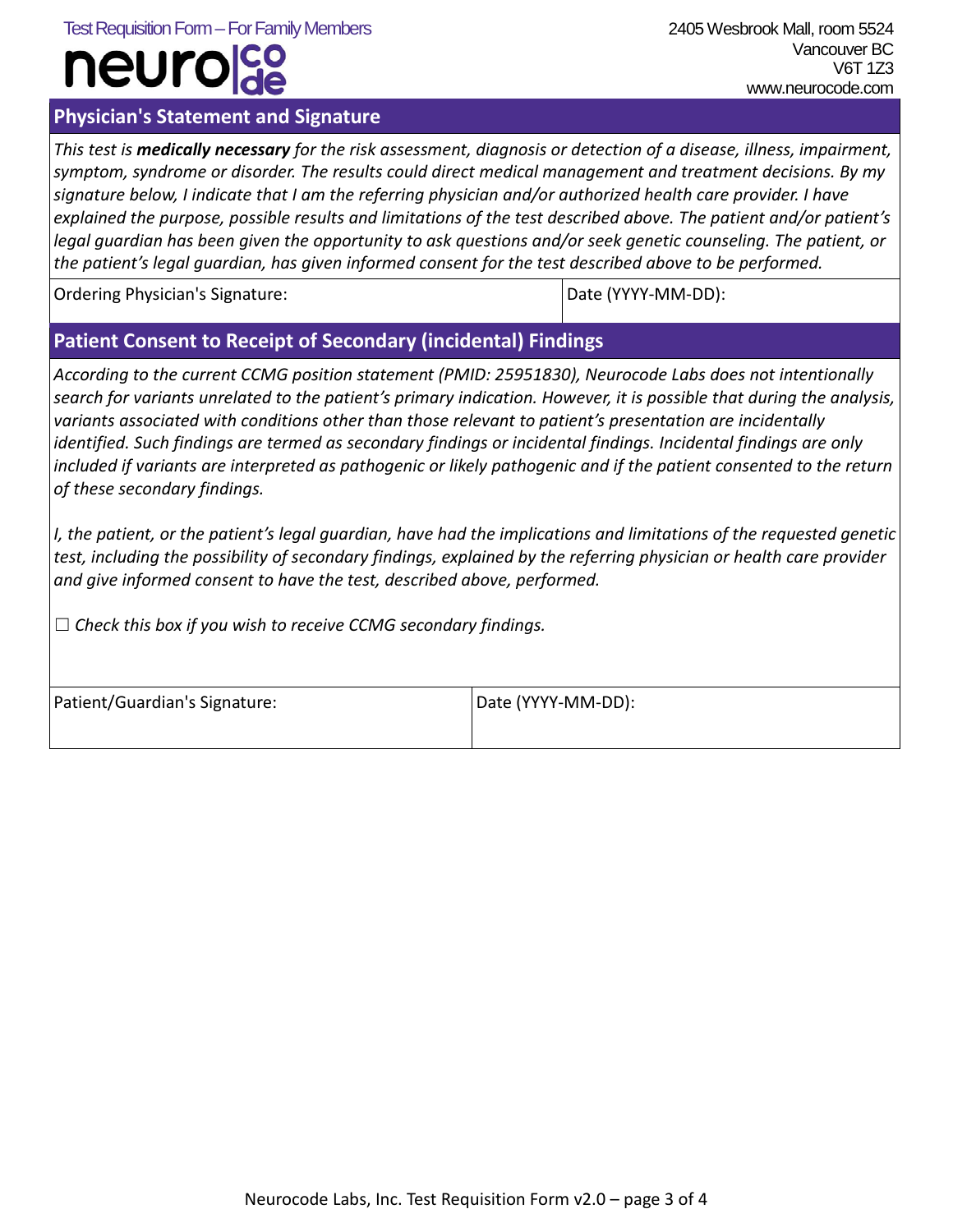#### Test Requisition Form–For Family Members 2405 Wesbrook Mall, room 5524

# neurc

### **Physician's Statement and Signature**

 Vancouver BC V6T 1Z3 www.neurocode.com

*This test is medically necessary for the risk assessment, diagnosis or detection of a disease, illness, impairment, symptom, syndrome or disorder. The results could direct medical management and treatment decisions. By my signature below, I indicate that I am the referring physician and/or authorized health care provider. I have explained the purpose, possible results and limitations of the test described above. The patient and/or patient's legal guardian has been given the opportunity to ask questions and/or seek genetic counseling. The patient, or the patient's legal guardian, has given informed consent for the test described above to be performed.*

Ordering Physician's Signature: Date (NATH) and Date (NATH) Date (NATH):

### **Patient Consent to Receipt of Secondary (incidental) Findings**

*According to the current CCMG position statement (PMID: 25951830), Neurocode Labs does not intentionally search for variants unrelated to the patient's primary indication. However, it is possible that during the analysis, variants associated with conditions other than those relevant to patient's presentation are incidentally identified. Such findings are termed as secondary findings or incidental findings. Incidental findings are only*  included if variants are interpreted as pathogenic or likely pathogenic and if the patient consented to the return *of these secondary findings.* 

*I, the patient, or the patient's legal guardian, have had the implications and limitations of the requested genetic test, including the possibility of secondary findings, explained by the referring physician or health care provider and give informed consent to have the test, described above, performed.*

☐ *Check this box if you wish to receive CCMG secondary findings.*

| Patient/Guardian's Signature: | Date (YYYY-MM-DD): |
|-------------------------------|--------------------|
|                               |                    |